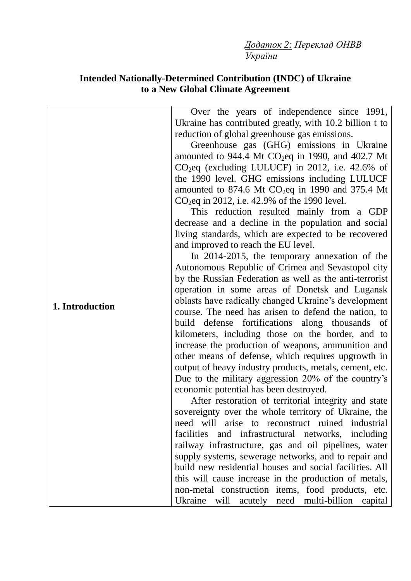*Додаток 2: Переклад ОНВВ України*

## **Intended Nationally-Determined Contribution (INDC) of Ukraine to a New Global Climate Agreement**

| 1. Introduction | Over the years of independence since 1991,<br>Ukraine has contributed greatly, with 10.2 billion t to<br>reduction of global greenhouse gas emissions.<br>Greenhouse gas (GHG) emissions in Ukraine<br>amounted to 944.4 Mt $CO2$ eq in 1990, and 402.7 Mt<br>$CO2$ eq (excluding LULUCF) in 2012, i.e. 42.6% of<br>the 1990 level. GHG emissions including LULUCF<br>amounted to 874.6 Mt $CO2$ eq in 1990 and 375.4 Mt<br>$CO_2$ eq in 2012, i.e. 42.9% of the 1990 level.<br>This reduction resulted mainly from a GDP<br>decrease and a decline in the population and social<br>living standards, which are expected to be recovered<br>and improved to reach the EU level.<br>In 2014-2015, the temporary annexation of the<br>Autonomous Republic of Crimea and Sevastopol city<br>by the Russian Federation as well as the anti-terrorist<br>operation in some areas of Donetsk and Lugansk<br>oblasts have radically changed Ukraine's development<br>course. The need has arisen to defend the nation, to<br>build defense fortifications along thousands of<br>kilometers, including those on the border, and to<br>increase the production of weapons, ammunition and<br>other means of defense, which requires upgrowth in<br>output of heavy industry products, metals, cement, etc.<br>Due to the military aggression 20% of the country's<br>economic potential has been destroyed.<br>After restoration of territorial integrity and state<br>sovereignty over the whole territory of Ukraine, the<br>need will arise to reconstruct ruined industrial<br>facilities and infrastructural networks, including<br>railway infrastructure, gas and oil pipelines, water<br>build new residential houses and social facilities. All |
|-----------------|-------------------------------------------------------------------------------------------------------------------------------------------------------------------------------------------------------------------------------------------------------------------------------------------------------------------------------------------------------------------------------------------------------------------------------------------------------------------------------------------------------------------------------------------------------------------------------------------------------------------------------------------------------------------------------------------------------------------------------------------------------------------------------------------------------------------------------------------------------------------------------------------------------------------------------------------------------------------------------------------------------------------------------------------------------------------------------------------------------------------------------------------------------------------------------------------------------------------------------------------------------------------------------------------------------------------------------------------------------------------------------------------------------------------------------------------------------------------------------------------------------------------------------------------------------------------------------------------------------------------------------------------------------------------------------------------------------------------------------------------------|
|                 | supply systems, sewerage networks, and to repair and<br>this will cause increase in the production of metals,<br>non-metal construction items, food products, etc.                                                                                                                                                                                                                                                                                                                                                                                                                                                                                                                                                                                                                                                                                                                                                                                                                                                                                                                                                                                                                                                                                                                                                                                                                                                                                                                                                                                                                                                                                                                                                                              |
|                 | Ukraine will acutely need multi-billion capital                                                                                                                                                                                                                                                                                                                                                                                                                                                                                                                                                                                                                                                                                                                                                                                                                                                                                                                                                                                                                                                                                                                                                                                                                                                                                                                                                                                                                                                                                                                                                                                                                                                                                                 |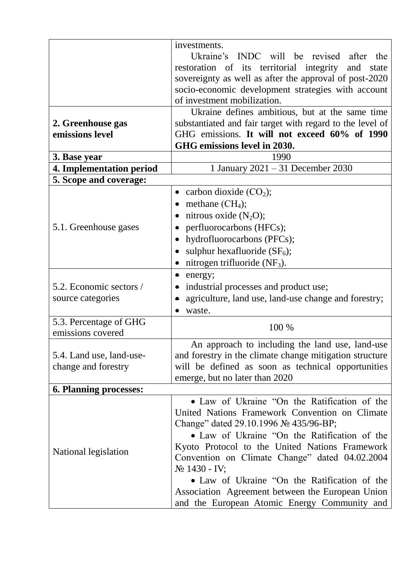|                                                 | investments.<br>Ukraine's INDC will be revised after the<br>restoration of its territorial integrity and state<br>sovereignty as well as after the approval of post-2020<br>socio-economic development strategies with account                                                                                                                                                                                                                                      |
|-------------------------------------------------|---------------------------------------------------------------------------------------------------------------------------------------------------------------------------------------------------------------------------------------------------------------------------------------------------------------------------------------------------------------------------------------------------------------------------------------------------------------------|
|                                                 | of investment mobilization.                                                                                                                                                                                                                                                                                                                                                                                                                                         |
| 2. Greenhouse gas<br>emissions level            | Ukraine defines ambitious, but at the same time<br>substantiated and fair target with regard to the level of<br>GHG emissions. It will not exceed 60% of 1990<br>GHG emissions level in 2030.                                                                                                                                                                                                                                                                       |
| 3. Base year                                    | 1990                                                                                                                                                                                                                                                                                                                                                                                                                                                                |
| <b>4. Implementation period</b>                 | 1 January 2021 - 31 December 2030                                                                                                                                                                                                                                                                                                                                                                                                                                   |
| 5. Scope and coverage:                          |                                                                                                                                                                                                                                                                                                                                                                                                                                                                     |
| 5.1. Greenhouse gases                           | • carbon dioxide $(CO2)$ ;<br>methane $(CH_4)$ ;<br>nitrous oxide $(N_2O)$ ;<br>perfluorocarbons (HFCs);<br>hydrofluorocarbons (PFCs);<br>sulphur hexafluoride $(SF_6)$ ;<br>nitrogen trifluoride $(NF_3)$ .                                                                                                                                                                                                                                                        |
| 5.2. Economic sectors /<br>source categories    | $\bullet$ energy;<br>• industrial processes and product use;<br>agriculture, land use, land-use change and forestry;<br>waste.<br>$\bullet$                                                                                                                                                                                                                                                                                                                         |
| 5.3. Percentage of GHG<br>emissions covered     | 100 %                                                                                                                                                                                                                                                                                                                                                                                                                                                               |
| 5.4. Land use, land-use-<br>change and forestry | An approach to including the land use, land-use<br>and forestry in the climate change mitigation structure<br>will be defined as soon as technical opportunities<br>emerge, but no later than 2020                                                                                                                                                                                                                                                                  |
| 6. Planning processes:                          |                                                                                                                                                                                                                                                                                                                                                                                                                                                                     |
| National legislation                            | • Law of Ukraine "On the Ratification of the<br>United Nations Framework Convention on Climate<br>Change" dated 29.10.1996 № 435/96-BP;<br>• Law of Ukraine "On the Ratification of the<br>Kyoto Protocol to the United Nations Framework<br>Convention on Climate Change" dated 04.02.2004<br>$N_2$ 1430 - IV;<br>• Law of Ukraine "On the Ratification of the<br>Association Agreement between the European Union<br>and the European Atomic Energy Community and |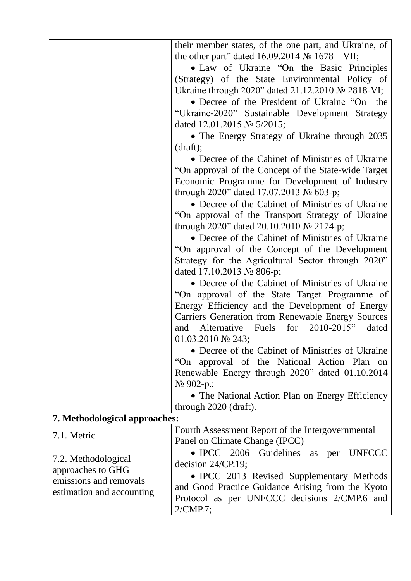|                                                                                                 | their member states, of the one part, and Ukraine, of<br>the other part" dated $16.09.2014 \text{ N}$ $1678 - \text{VII}$ ;<br>• Law of Ukraine "On the Basic Principles"<br>(Strategy) of the State Environmental Policy of<br>Ukraine through 2020" dated 21.12.2010 № 2818-VI;<br>• Decree of the President of Ukraine "On the<br>"Ukraine-2020" Sustainable Development Strategy<br>dated 12.01.2015 $\mathcal{N}$ 5/2015;<br>• The Energy Strategy of Ukraine through 2035<br>$draff$ );<br>• Decree of the Cabinet of Ministries of Ukraine<br>"On approval of the Concept of the State-wide Target<br>Economic Programme for Development of Industry<br>through 2020" dated 17.07.2013 $\mathcal{N}_2$ 603-p;<br>• Decree of the Cabinet of Ministries of Ukraine<br>"On approval of the Transport Strategy of Ukraine<br>through 2020" dated 20.10.2010 $\mathcal{N}$ 2174-p;<br>• Decree of the Cabinet of Ministries of Ukraine<br>"On approval of the Concept of the Development"<br>Strategy for the Agricultural Sector through 2020"<br>dated 17.10.2013 $\mathcal{N}$ <sup>o</sup> 806-p;<br>• Decree of the Cabinet of Ministries of Ukraine<br>"On approval of the State Target Programme of<br>Energy Efficiency and the Development of Energy<br><b>Carriers Generation from Renewable Energy Sources</b><br>Alternative Fuels for 2010-2015"<br>dated<br>and<br>01.03.2010 $\mathbb{N}$ 243;<br>• Decree of the Cabinet of Ministries of Ukraine<br>"On approval of the National Action Plan on<br>Renewable Energy through 2020" dated 01.10.2014<br>$N_2$ 902-p.;<br>• The National Action Plan on Energy Efficiency |
|-------------------------------------------------------------------------------------------------|--------------------------------------------------------------------------------------------------------------------------------------------------------------------------------------------------------------------------------------------------------------------------------------------------------------------------------------------------------------------------------------------------------------------------------------------------------------------------------------------------------------------------------------------------------------------------------------------------------------------------------------------------------------------------------------------------------------------------------------------------------------------------------------------------------------------------------------------------------------------------------------------------------------------------------------------------------------------------------------------------------------------------------------------------------------------------------------------------------------------------------------------------------------------------------------------------------------------------------------------------------------------------------------------------------------------------------------------------------------------------------------------------------------------------------------------------------------------------------------------------------------------------------------------------------------------------------------------------------------------------------------------|
|                                                                                                 | through 2020 (draft).                                                                                                                                                                                                                                                                                                                                                                                                                                                                                                                                                                                                                                                                                                                                                                                                                                                                                                                                                                                                                                                                                                                                                                                                                                                                                                                                                                                                                                                                                                                                                                                                                      |
| 7. Methodological approaches:                                                                   |                                                                                                                                                                                                                                                                                                                                                                                                                                                                                                                                                                                                                                                                                                                                                                                                                                                                                                                                                                                                                                                                                                                                                                                                                                                                                                                                                                                                                                                                                                                                                                                                                                            |
| 7.1. Metric                                                                                     | Fourth Assessment Report of the Intergovernmental<br>Panel on Climate Change (IPCC)                                                                                                                                                                                                                                                                                                                                                                                                                                                                                                                                                                                                                                                                                                                                                                                                                                                                                                                                                                                                                                                                                                                                                                                                                                                                                                                                                                                                                                                                                                                                                        |
| 7.2. Methodological<br>approaches to GHG<br>emissions and removals<br>estimation and accounting | • IPCC 2006 Guidelines as per<br><b>UNFCCC</b><br>decision $24/CP.19$ ;<br>• IPCC 2013 Revised Supplementary Methods<br>and Good Practice Guidance Arising from the Kyoto<br>Protocol as per UNFCCC decisions 2/CMP.6 and<br>2/CMP.7;                                                                                                                                                                                                                                                                                                                                                                                                                                                                                                                                                                                                                                                                                                                                                                                                                                                                                                                                                                                                                                                                                                                                                                                                                                                                                                                                                                                                      |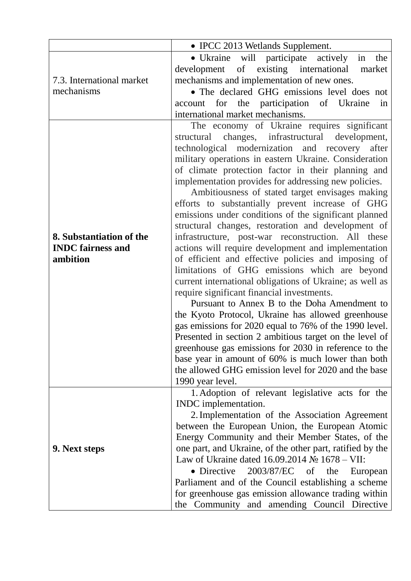|                                                                  | • IPCC 2013 Wetlands Supplement.                                                                                                                                                                                                                                                                                                                                                                                                                                                                                                                                                                                                                                                                                                                                                                                                                                                                                                                                                                                                                                                                                                                                                                                                                                                                       |
|------------------------------------------------------------------|--------------------------------------------------------------------------------------------------------------------------------------------------------------------------------------------------------------------------------------------------------------------------------------------------------------------------------------------------------------------------------------------------------------------------------------------------------------------------------------------------------------------------------------------------------------------------------------------------------------------------------------------------------------------------------------------------------------------------------------------------------------------------------------------------------------------------------------------------------------------------------------------------------------------------------------------------------------------------------------------------------------------------------------------------------------------------------------------------------------------------------------------------------------------------------------------------------------------------------------------------------------------------------------------------------|
| 7.3. International market<br>mechanisms                          | • Ukraine will participate actively<br>the<br>in<br>development of existing international<br>market<br>mechanisms and implementation of new ones.<br>• The declared GHG emissions level does not<br>account for the participation of Ukraine<br>in<br>international market mechanisms.                                                                                                                                                                                                                                                                                                                                                                                                                                                                                                                                                                                                                                                                                                                                                                                                                                                                                                                                                                                                                 |
| 8. Substantiation of the<br><b>INDC</b> fairness and<br>ambition | The economy of Ukraine requires significant<br>changes, infrastructural development,<br>structural<br>technological modernization and recovery after<br>military operations in eastern Ukraine. Consideration<br>of climate protection factor in their planning and<br>implementation provides for addressing new policies.<br>Ambitiousness of stated target envisages making<br>efforts to substantially prevent increase of GHG<br>emissions under conditions of the significant planned<br>structural changes, restoration and development of<br>infrastructure, post-war reconstruction. All these<br>actions will require development and implementation<br>of efficient and effective policies and imposing of<br>limitations of GHG emissions which are beyond<br>current international obligations of Ukraine; as well as<br>require significant financial investments.<br>Pursuant to Annex B to the Doha Amendment to<br>the Kyoto Protocol, Ukraine has allowed greenhouse<br>gas emissions for 2020 equal to 76% of the 1990 level.<br>Presented in section 2 ambitious target on the level of<br>greenhouse gas emissions for 2030 in reference to the<br>base year in amount of 60% is much lower than both<br>the allowed GHG emission level for 2020 and the base<br>1990 year level. |
| 9. Next steps                                                    | 1. Adoption of relevant legislative acts for the<br>INDC implementation.<br>2. Implementation of the Association Agreement<br>between the European Union, the European Atomic<br>Energy Community and their Member States, of the<br>one part, and Ukraine, of the other part, ratified by the<br>Law of Ukraine dated $16.09.2014$ No $1678 - VII$ :<br>• Directive<br>2003/87/EC of the<br>European<br>Parliament and of the Council establishing a scheme<br>for greenhouse gas emission allowance trading within<br>the Community and amending Council Directive                                                                                                                                                                                                                                                                                                                                                                                                                                                                                                                                                                                                                                                                                                                                   |